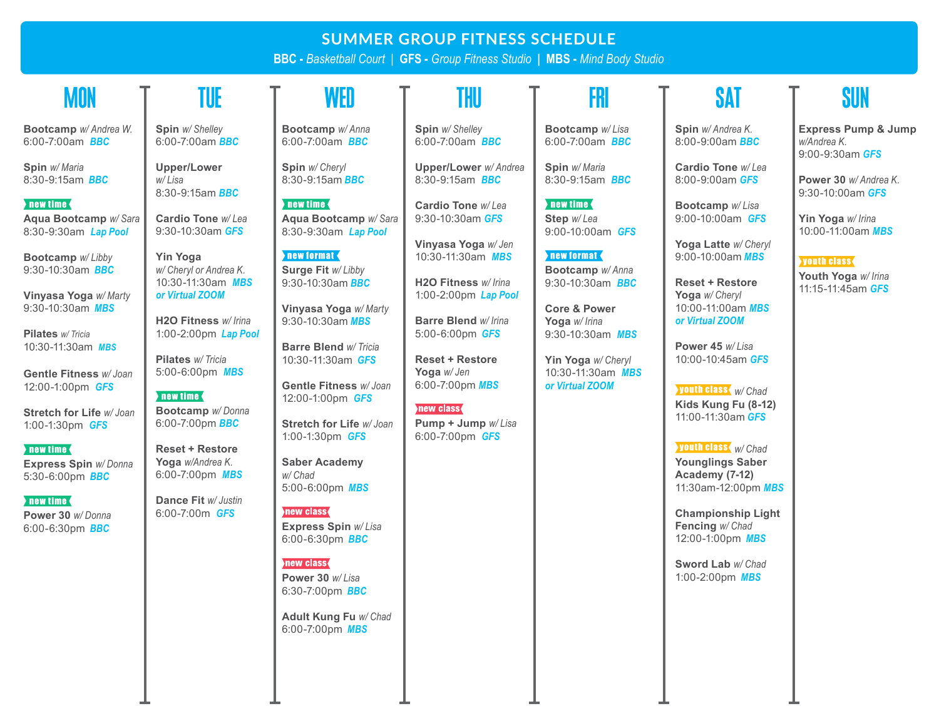# **SUMMER GROUP FITNESS SCHEDULE**

**BBC -** *Basketball Court |* **GFS -** *Group Fitness Studio* **| MBS -** *Mind Body Studio* 

# **MON**

**Bootcamp** *w/ Andrea W.* 6:00-7:00am*BBC*

**Spin** *w/ Maria* 8:30-9:15am *BBC*

### new time

**Aqua Bootcamp** *w/ Sara* 8:30-9:30am *Lap Pool*

**Bootcamp** *w/ Libby*  9:30-10:30am *BBC*

**Vinyasa Yoga** *w/ Marty* 9:30-10:30am *MBS*

**Pilates** *w/ Tricia* 10:30-11:30am *MBS*

**Gentle Fitness** *w/ Joan* 12:00-1:00pm *GFS*

**Stretch for Life** *w/ Joan* 1:00-1:30pm *GFS*

#### $\blacksquare$  new time  $\blacklozenge$

**Express Spin** *w/ Donna* 5:30-6:00pm *BBC*

#### $\blacktriangleright$  new time  $\blacklozenge$

**Power 30** *w/ Donna* 6:00-6:30pm *BBC*

**Spin** *w/ Shelley* 6:00-7:00am *BBC*

**Upper/Lower**  *w/ Lisa* 8:30-9:15am *BBC*

**Cardio Tone** *w/ Lea* 9:30-10:30am *GFS*

**Yin Yoga**  *w/ Cheryl or Andrea K.* 10:30-11:30am *MBS or Virtual ZOOM*

**H2O Fitness** *w/ Irina* 1:00-2:00pm *Lap Pool*

**Pilates** *w/ Tricia* 5:00-6:00pm *MBS*

new time **Bootcamp** *w/ Donna* 6:00-7:00pm *BBC*

**Reset + Restore Yoga** *w/Andrea K.* 6:00-7:00pm *MBS*

**Dance Fit** *w/ Justin* 6:00-7:00m *GFS*

**Bootcamp** *w/ Anna* TUE Ț WED Ț THU Ț FRI Ț SAT Ț SUN

> **Spin** *w/ Cheryl* 8:30-9:15am *BBC*

6:00-7:00am*BBC*

new time **{ Aqua Bootcamp** *w/ Sara* 8:30-9:30am *Lap Pool*

new format **Surge Fit** *w/ Libby* 9:30-10:30am *BBC*

**Vinyasa Yoga** *w/ Marty* 9:30-10:30am *MBS*

**Barre Blend** *w/ Tricia* 10:30-11:30am *GFS*

**Gentle Fitness** *w/ Joan* 12:00-1:00pm *GFS*

**Stretch for Life** *w/ Joan* 1:00-1:30pm *GFS*

#### **Saber Academy**  *w/ Chad* 5:00-6:00pm *MBS*

new class **Express Spin** *w/ Lisa* 6:00-6:30pm *BBC*

#### new class

**Power 30** *w/ Lisa* 6:30-7:00pm *BBC*

**Adult Kung Fu** *w/ Chad* 6:00-7:00pm *MBS*

**Spin** *w/ Shelley* 6:00-7:00am *BBC*

**Upper/Lower** *w/ Andrea* 8:30-9:15am *BBC*

**Cardio Tone** *w/ Lea* 9:30-10:30am *GFS* 

**Vinyasa Yoga** *w/ Jen* 10:30-11:30am *MBS*

**H2O Fitness** *w/ Irina* 1:00-2:00pm *Lap Pool*

**Barre Blend** *w/ Irina* 5:00-6:00pm *GFS*

**Reset + Restore Yoga** *w/ Jen* 6:00-7:00pm *MBS*

# new class

**Pump + Jump** *w/ Lisa* 6:00-7:00pm *GFS*

**Bootcamp** *w/ Lisa* 6:00-7:00am *BBC*

**Spin** *w/ Maria* 8:30-9:15am *BBC*

 $\blacksquare$  new time  $\blacksquare$ **Step** *w/ Lea* 9:00-10:00am *GFS*

new format **Bootcamp** *w/ Anna* 9:30-10:30am *BBC*

**Core & Power Yoga** *w/ Irina* 9:30-10:30am *MBS*

**Yin Yoga** *w/ Cheryl* 10:30-11:30am *MBS or Virtual ZOOM*

## **Spin** *w/ Andrea K.* 8:00-9:00am *BBC*

**Cardio Tone** *w/ Lea* 8:00-9:00am *GFS* 

> **Bootcamp** *w/ Lisa* 9:00-10:00am *GFS*

**Yoga Latte** *w/ Cheryl* 9:00-10:00am *MBS*

**Reset + Restore Yoga** *w/ Cheryl* 10:00-11:00am *MBS or Virtual ZOOM*

**Power 45** *w/ Lisa* 10:00-10:45am *GFS*

*w/ Chad* **Kids Kung Fu (8-12)** 11:00-11:30am *GFS* 

*w/ Chad* **Younglings Saber Academy (7-12)** 11:30am-12:00pm *MBS*

**Championship Light Fencing** *w/ Chad* 12:00-1:00pm *MBS*

**Sword Lab** *w/ Chad* 1:00-2:00pm *MBS*

**Express Pump & Jump**  *w/Andrea K.* 9:00-9:30am *GFS* 

**Power 30** *w/ Andrea K.* 9:30-10:00am *GFS* 

**Yin Yoga** *w/ Irina* 10:00-11:00am *MBS*

### **youth class**

**Youth Yoga** *w/ Irina* 11:15-11:45am *GFS*